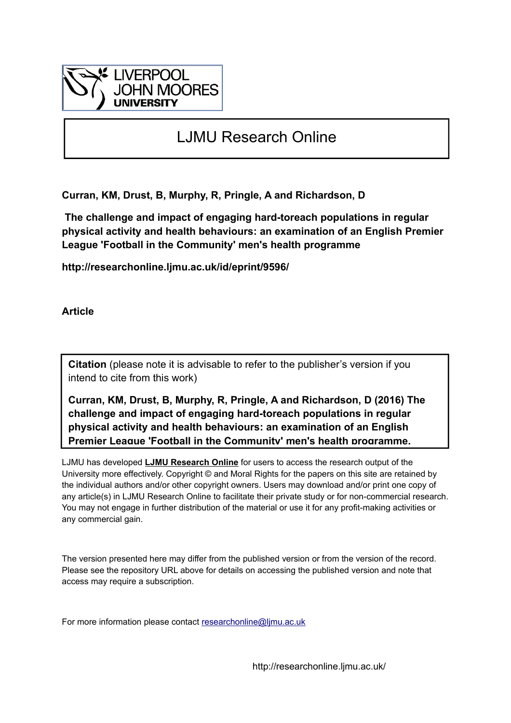

# LJMU Research Online

**Curran, KM, Drust, B, Murphy, R, Pringle, A and Richardson, D**

 **The challenge and impact of engaging hard-toreach populations in regular physical activity and health behaviours: an examination of an English Premier League 'Football in the Community' men's health programme**

**http://researchonline.ljmu.ac.uk/id/eprint/9596/**

**Article**

**Citation** (please note it is advisable to refer to the publisher's version if you intend to cite from this work)

**Curran, KM, Drust, B, Murphy, R, Pringle, A and Richardson, D (2016) The challenge and impact of engaging hard-toreach populations in regular physical activity and health behaviours: an examination of an English Premier League 'Football in the Community' men's health programme.** 

LJMU has developed **[LJMU Research Online](http://researchonline.ljmu.ac.uk/)** for users to access the research output of the University more effectively. Copyright © and Moral Rights for the papers on this site are retained by the individual authors and/or other copyright owners. Users may download and/or print one copy of any article(s) in LJMU Research Online to facilitate their private study or for non-commercial research. You may not engage in further distribution of the material or use it for any profit-making activities or any commercial gain.

The version presented here may differ from the published version or from the version of the record. Please see the repository URL above for details on accessing the published version and note that access may require a subscription.

For more information please contact researchonline@limu.ac.uk

http://researchonline.ljmu.ac.uk/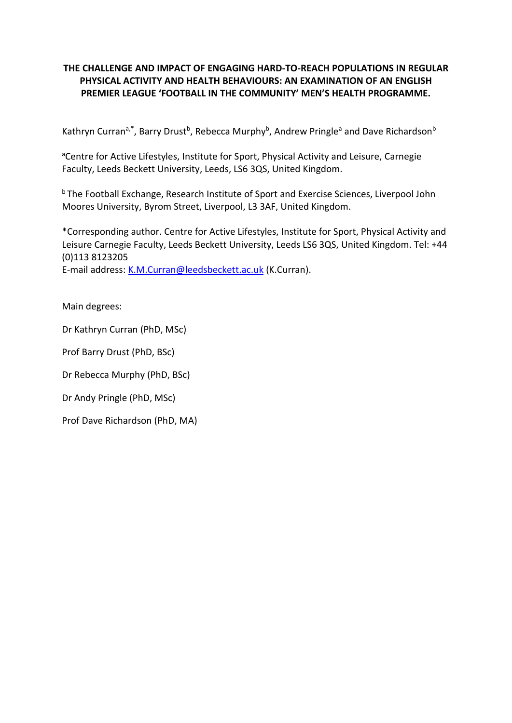# **THE CHALLENGE AND IMPACT OF ENGAGING HARD-TO-REACH POPULATIONS IN REGULAR PHYSICAL ACTIVITY AND HEALTH BEHAVIOURS: AN EXAMINATION OF AN ENGLISH PREMIER LEAGUE 'FOOTBALL IN THE COMMUNITY' MEN'S HEALTH PROGRAMME.**

Kathryn Curran<sup>a,\*</sup>, Barry Drust<sup>b</sup>, Rebecca Murphy<sup>b</sup>, Andrew Pringle<sup>a</sup> and Dave Richardson<sup>b</sup>

<sup>a</sup>Centre for Active Lifestyles, Institute for Sport, Physical Activity and Leisure, Carnegie Faculty, Leeds Beckett University, Leeds, LS6 3QS, United Kingdom.

**b** The Football Exchange, Research Institute of Sport and Exercise Sciences, Liverpool John Moores University, Byrom Street, Liverpool, L3 3AF, United Kingdom.

\*Corresponding author. Centre for Active Lifestyles, Institute for Sport, Physical Activity and Leisure Carnegie Faculty, Leeds Beckett University, Leeds LS6 3QS, United Kingdom. Tel: +44 (0)113 8123205 E-mail address: [K.M.Curran@leedsbeckett.ac.uk](mailto:K.M.Curran@leedsbeckett.ac.uk) (K.Curran).

Main degrees:

Dr Kathryn Curran (PhD, MSc)

Prof Barry Drust (PhD, BSc)

Dr Rebecca Murphy (PhD, BSc)

Dr Andy Pringle (PhD, MSc)

Prof Dave Richardson (PhD, MA)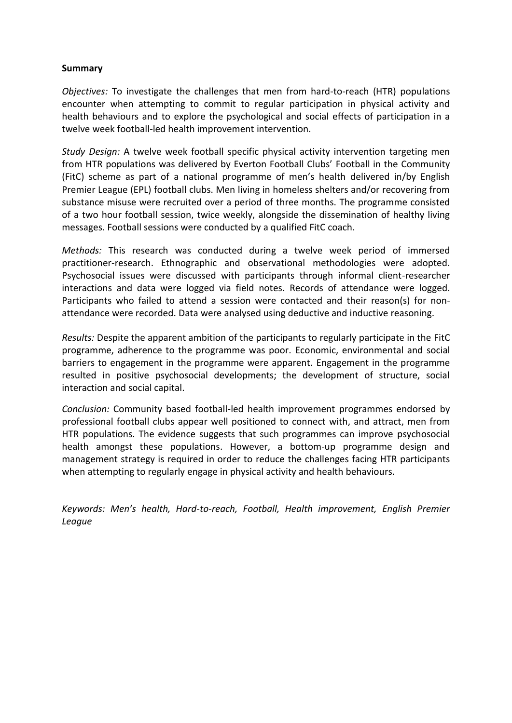# **Summary**

*Objectives:* To investigate the challenges that men from hard-to-reach (HTR) populations encounter when attempting to commit to regular participation in physical activity and health behaviours and to explore the psychological and social effects of participation in a twelve week football-led health improvement intervention.

*Study Design:* A twelve week football specific physical activity intervention targeting men from HTR populations was delivered by Everton Football Clubs' Football in the Community (FitC) scheme as part of a national programme of men's health delivered in/by English Premier League (EPL) football clubs. Men living in homeless shelters and/or recovering from substance misuse were recruited over a period of three months. The programme consisted of a two hour football session, twice weekly, alongside the dissemination of healthy living messages. Football sessions were conducted by a qualified FitC coach.

*Methods:* This research was conducted during a twelve week period of immersed practitioner-research. Ethnographic and observational methodologies were adopted. Psychosocial issues were discussed with participants through informal client-researcher interactions and data were logged via field notes. Records of attendance were logged. Participants who failed to attend a session were contacted and their reason(s) for nonattendance were recorded. Data were analysed using deductive and inductive reasoning.

*Results:* Despite the apparent ambition of the participants to regularly participate in the FitC programme, adherence to the programme was poor. Economic, environmental and social barriers to engagement in the programme were apparent. Engagement in the programme resulted in positive psychosocial developments; the development of structure, social interaction and social capital.

*Conclusion:* Community based football-led health improvement programmes endorsed by professional football clubs appear well positioned to connect with, and attract, men from HTR populations. The evidence suggests that such programmes can improve psychosocial health amongst these populations. However, a bottom-up programme design and management strategy is required in order to reduce the challenges facing HTR participants when attempting to regularly engage in physical activity and health behaviours.

*Keywords: Men's health, Hard-to-reach, Football, Health improvement, English Premier League*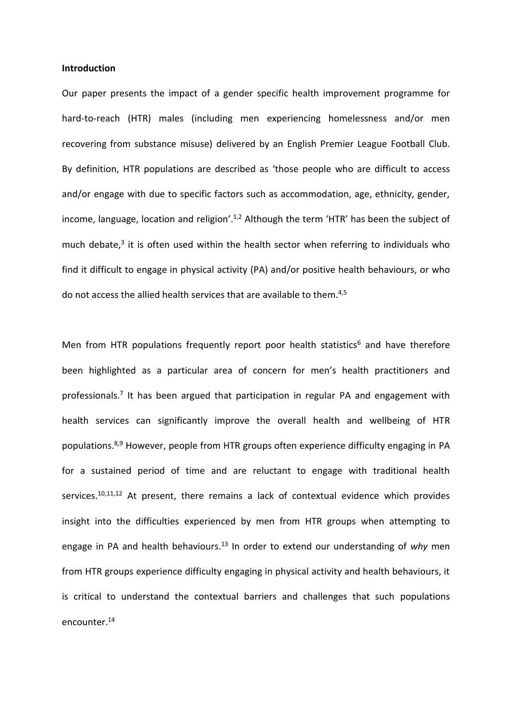#### **Introduction**

Our paper presents the impact of a gender specific health improvement programme for hard-to-reach (HTR) males (including men experiencing homelessness and/or men recovering from substance misuse) delivered by an English Premier League Football Club. By definition, HTR populations are described as 'those people who are difficult to access and/or engage with due to specific factors such as accommodation, age, ethnicity, gender, income, language, location and religion'.<sup>1,2</sup> Although the term 'HTR' has been the subject of much debate,<sup>3</sup> it is often used within the health sector when referring to individuals who find it difficult to engage in physical activity (PA) and/or positive health behaviours, or who do not access the allied health services that are available to them.<sup>4,5</sup>

Men from HTR populations frequently report poor health statistics<sup>6</sup> and have therefore been highlighted as a particular area of concern for men's health practitioners and professionals.<sup>7</sup> It has been argued that participation in regular PA and engagement with health services can significantly improve the overall health and wellbeing of HTR populations.<sup>8,9</sup> However, people from HTR groups often experience difficulty engaging in PA for a sustained period of time and are reluctant to engage with traditional health services.<sup>10,11,12</sup> At present, there remains a lack of contextual evidence which provides insight into the difficulties experienced by men from HTR groups when attempting to engage in PA and health behaviours. <sup>13</sup> In order to extend our understanding of *why* men from HTR groups experience difficulty engaging in physical activity and health behaviours, it is critical to understand the contextual barriers and challenges that such populations encounter. 14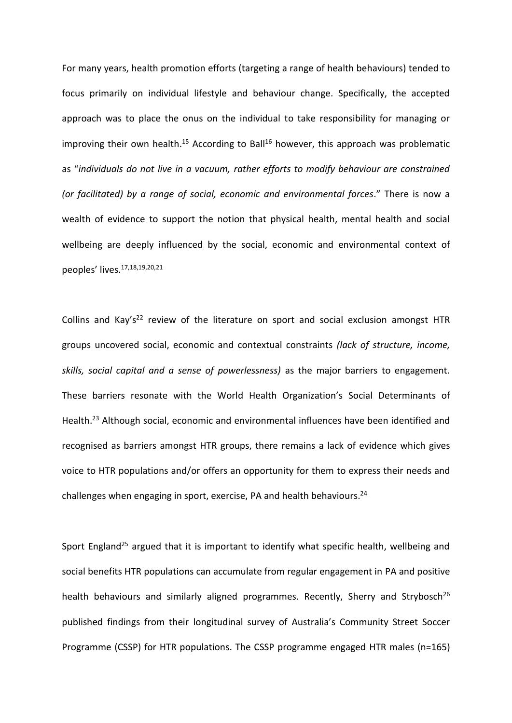For many years, health promotion efforts (targeting a range of health behaviours) tended to focus primarily on individual lifestyle and behaviour change. Specifically, the accepted approach was to place the onus on the individual to take responsibility for managing or improving their own health.<sup>15</sup> According to Ball<sup>16</sup> however, this approach was problematic as "*individuals do not live in a vacuum, rather efforts to modify behaviour are constrained (or facilitated) by a range of social, economic and environmental forces*." There is now a wealth of evidence to support the notion that physical health, mental health and social wellbeing are deeply influenced by the social, economic and environmental context of peoples' lives.17,18,19,20,21

Collins and Kay's<sup>22</sup> review of the literature on sport and social exclusion amongst HTR groups uncovered social, economic and contextual constraints *(lack of structure, income, skills, social capital and a sense of powerlessness)* as the major barriers to engagement. These barriers resonate with the World Health Organization's Social Determinants of Health.<sup>23</sup> Although social, economic and environmental influences have been identified and recognised as barriers amongst HTR groups, there remains a lack of evidence which gives voice to HTR populations and/or offers an opportunity for them to express their needs and challenges when engaging in sport, exercise, PA and health behaviours. 24

Sport England<sup>25</sup> argued that it is important to identify what specific health, wellbeing and social benefits HTR populations can accumulate from regular engagement in PA and positive health behaviours and similarly aligned programmes. Recently, Sherry and Strybosch<sup>26</sup> published findings from their longitudinal survey of Australia's Community Street Soccer Programme (CSSP) for HTR populations. The CSSP programme engaged HTR males (n=165)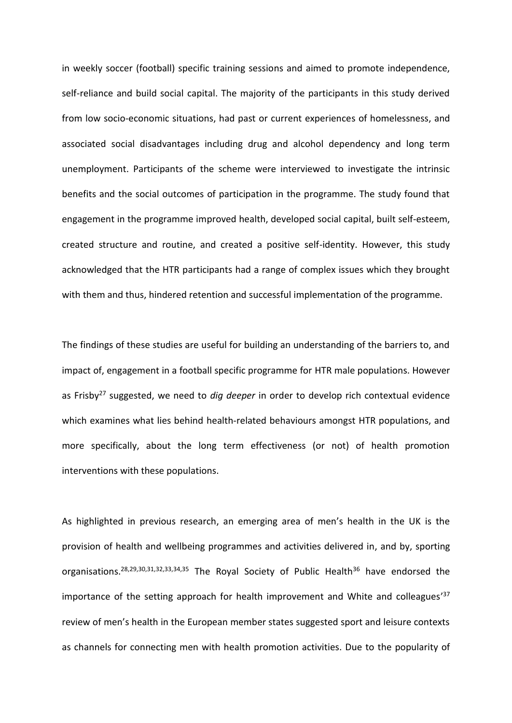in weekly soccer (football) specific training sessions and aimed to promote independence, self-reliance and build social capital. The majority of the participants in this study derived from low socio-economic situations, had past or current experiences of homelessness, and associated social disadvantages including drug and alcohol dependency and long term unemployment. Participants of the scheme were interviewed to investigate the intrinsic benefits and the social outcomes of participation in the programme. The study found that engagement in the programme improved health, developed social capital, built self-esteem, created structure and routine, and created a positive self-identity. However, this study acknowledged that the HTR participants had a range of complex issues which they brought with them and thus, hindered retention and successful implementation of the programme.

The findings of these studies are useful for building an understanding of the barriers to, and impact of, engagement in a football specific programme for HTR male populations. However as Frisby<sup>27</sup> suggested, we need to *dig deeper* in order to develop rich contextual evidence which examines what lies behind health-related behaviours amongst HTR populations, and more specifically, about the long term effectiveness (or not) of health promotion interventions with these populations.

As highlighted in previous research, an emerging area of men's health in the UK is the provision of health and wellbeing programmes and activities delivered in, and by, sporting organisations.<sup>28,29,30,31,32,33,34,35</sup> The Royal Society of Public Health<sup>36</sup> have endorsed the importance of the setting approach for health improvement and White and colleagues<sup>'37</sup> review of men's health in the European member states suggested sport and leisure contexts as channels for connecting men with health promotion activities. Due to the popularity of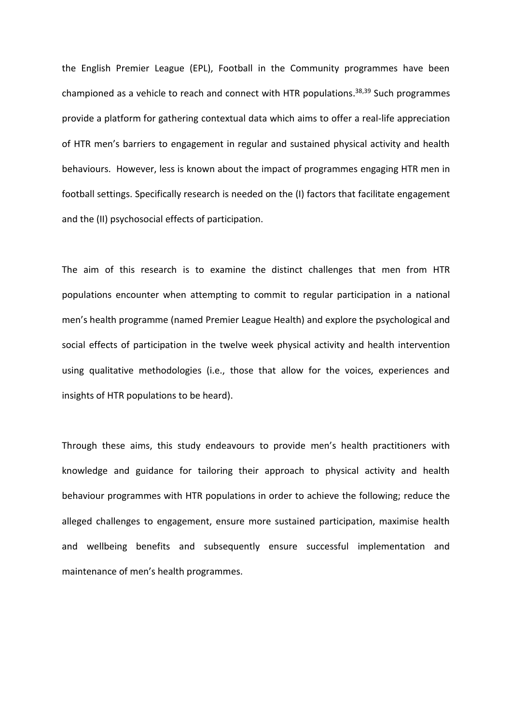the English Premier League (EPL), Football in the Community programmes have been championed as a vehicle to reach and connect with HTR populations.<sup>38,39</sup> Such programmes provide a platform for gathering contextual data which aims to offer a real-life appreciation of HTR men's barriers to engagement in regular and sustained physical activity and health behaviours. However, less is known about the impact of programmes engaging HTR men in football settings. Specifically research is needed on the (I) factors that facilitate engagement and the (II) psychosocial effects of participation.

The aim of this research is to examine the distinct challenges that men from HTR populations encounter when attempting to commit to regular participation in a national men's health programme (named Premier League Health) and explore the psychological and social effects of participation in the twelve week physical activity and health intervention using qualitative methodologies (i.e., those that allow for the voices, experiences and insights of HTR populations to be heard).

Through these aims, this study endeavours to provide men's health practitioners with knowledge and guidance for tailoring their approach to physical activity and health behaviour programmes with HTR populations in order to achieve the following; reduce the alleged challenges to engagement, ensure more sustained participation, maximise health and wellbeing benefits and subsequently ensure successful implementation and maintenance of men's health programmes.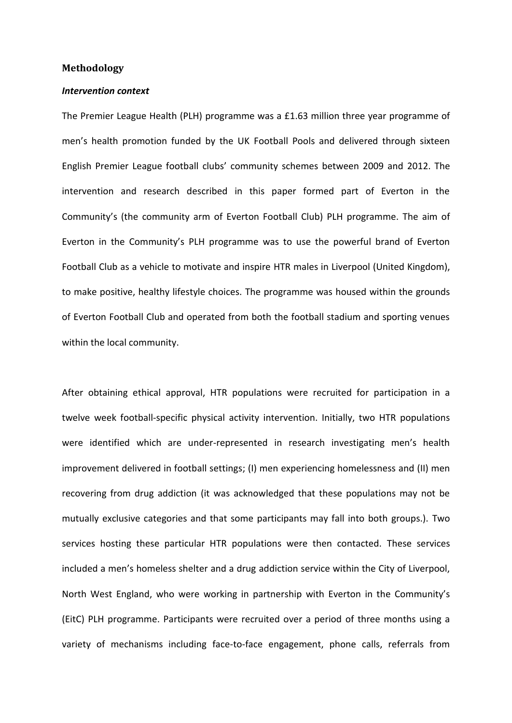### **Methodology**

#### *Intervention context*

The Premier League Health (PLH) programme was a £1.63 million three year programme of men's health promotion funded by the UK Football Pools and delivered through sixteen English Premier League football clubs' community schemes between 2009 and 2012. The intervention and research described in this paper formed part of Everton in the Community's (the community arm of Everton Football Club) PLH programme. The aim of Everton in the Community's PLH programme was to use the powerful brand of Everton Football Club as a vehicle to motivate and inspire HTR males in Liverpool (United Kingdom), to make positive, healthy lifestyle choices. The programme was housed within the grounds of Everton Football Club and operated from both the football stadium and sporting venues within the local community.

After obtaining ethical approval, HTR populations were recruited for participation in a twelve week football-specific physical activity intervention. Initially, two HTR populations were identified which are under-represented in research investigating men's health improvement delivered in football settings; (I) men experiencing homelessness and (II) men recovering from drug addiction (it was acknowledged that these populations may not be mutually exclusive categories and that some participants may fall into both groups.). Two services hosting these particular HTR populations were then contacted. These services included a men's homeless shelter and a drug addiction service within the City of Liverpool, North West England, who were working in partnership with Everton in the Community's (EitC) PLH programme. Participants were recruited over a period of three months using a variety of mechanisms including face-to-face engagement, phone calls, referrals from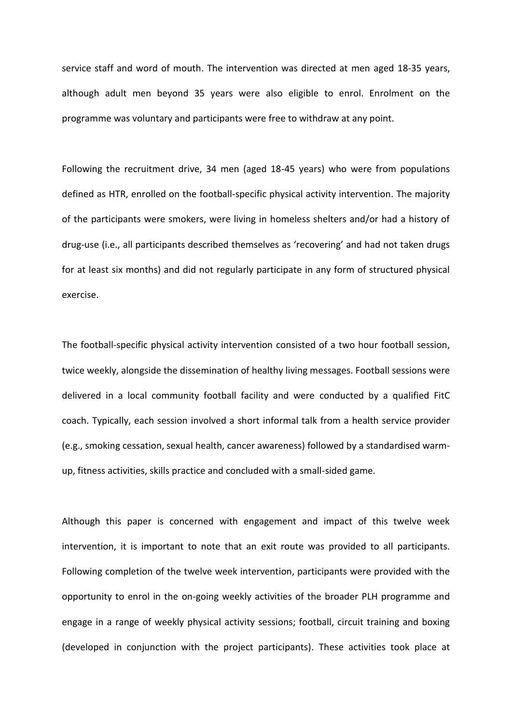service staff and word of mouth. The intervention was directed at men aged 18-35 years, although adult men beyond 35 years were also eligible to enrol. Enrolment on the programme was voluntary and participants were free to withdraw at any point.

Following the recruitment drive, 34 men (aged 18-45 years) who were from populations defined as HTR, enrolled on the football-specific physical activity intervention. The majority of the participants were smokers, were living in homeless shelters and/or had a history of drug-use (i.e., all participants described themselves as 'recovering' and had not taken drugs for at least six months) and did not regularly participate in any form of structured physical exercise.

The football-specific physical activity intervention consisted of a two hour football session, twice weekly, alongside the dissemination of healthy living messages. Football sessions were delivered in a local community football facility and were conducted by a qualified FitC coach. Typically, each session involved a short informal talk from a health service provider (e.g., smoking cessation, sexual health, cancer awareness) followed by a standardised warmup, fitness activities, skills practice and concluded with a small-sided game.

Although this paper is concerned with engagement and impact of this twelve week intervention, it is important to note that an exit route was provided to all participants. Following completion of the twelve week intervention, participants were provided with the opportunity to enrol in the on-going weekly activities of the broader PLH programme and engage in a range of weekly physical activity sessions; football, circuit training and boxing (developed in conjunction with the project participants). These activities took place at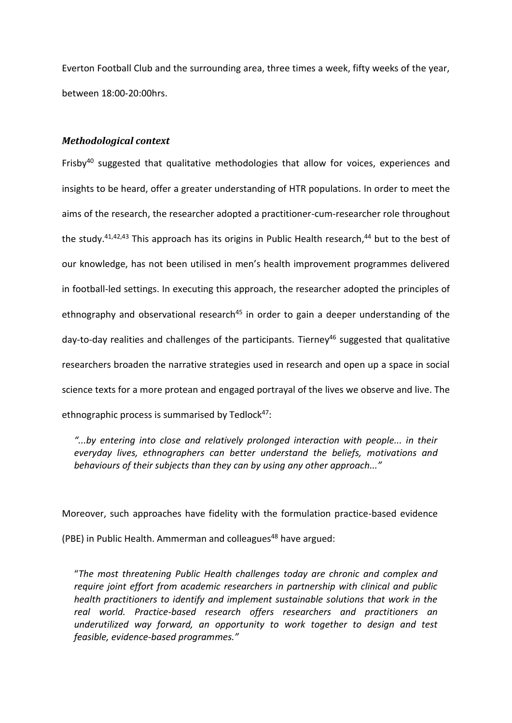Everton Football Club and the surrounding area, three times a week, fifty weeks of the year, between 18:00-20:00hrs.

# *Methodological context*

Frisby<sup>40</sup> suggested that qualitative methodologies that allow for voices, experiences and insights to be heard, offer a greater understanding of HTR populations. In order to meet the aims of the research, the researcher adopted a practitioner-cum-researcher role throughout the study.<sup>41,42,43</sup> This approach has its origins in Public Health research,<sup>44</sup> but to the best of our knowledge, has not been utilised in men's health improvement programmes delivered in football-led settings. In executing this approach, the researcher adopted the principles of ethnography and observational research<sup>45</sup> in order to gain a deeper understanding of the day-to-day realities and challenges of the participants. Tierney<sup>46</sup> suggested that qualitative researchers broaden the narrative strategies used in research and open up a space in social science texts for a more protean and engaged portrayal of the lives we observe and live. The ethnographic process is summarised by Tedlock $47$ :

*"...by entering into close and relatively prolonged interaction with people... in their everyday lives, ethnographers can better understand the beliefs, motivations and behaviours of their subjects than they can by using any other approach..."*

Moreover, such approaches have fidelity with the formulation practice-based evidence (PBE) in Public Health. Ammerman and colleagues<sup>48</sup> have argued:

"*The most threatening Public Health challenges today are chronic and complex and require joint effort from academic researchers in partnership with clinical and public health practitioners to identify and implement sustainable solutions that work in the real world. Practice-based research offers researchers and practitioners an underutilized way forward, an opportunity to work together to design and test feasible, evidence-based programmes."*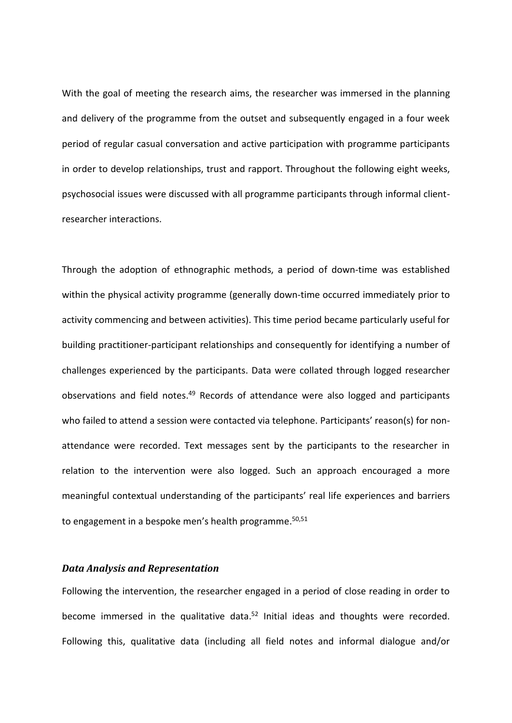With the goal of meeting the research aims, the researcher was immersed in the planning and delivery of the programme from the outset and subsequently engaged in a four week period of regular casual conversation and active participation with programme participants in order to develop relationships, trust and rapport. Throughout the following eight weeks, psychosocial issues were discussed with all programme participants through informal clientresearcher interactions.

Through the adoption of ethnographic methods, a period of down-time was established within the physical activity programme (generally down-time occurred immediately prior to activity commencing and between activities). This time period became particularly useful for building practitioner-participant relationships and consequently for identifying a number of challenges experienced by the participants. Data were collated through logged researcher observations and field notes.<sup>49</sup> Records of attendance were also logged and participants who failed to attend a session were contacted via telephone. Participants' reason(s) for nonattendance were recorded. Text messages sent by the participants to the researcher in relation to the intervention were also logged. Such an approach encouraged a more meaningful contextual understanding of the participants' real life experiences and barriers to engagement in a bespoke men's health programme.<sup>50,51</sup>

## *Data Analysis and Representation*

Following the intervention, the researcher engaged in a period of close reading in order to become immersed in the qualitative data.<sup>52</sup> Initial ideas and thoughts were recorded. Following this, qualitative data (including all field notes and informal dialogue and/or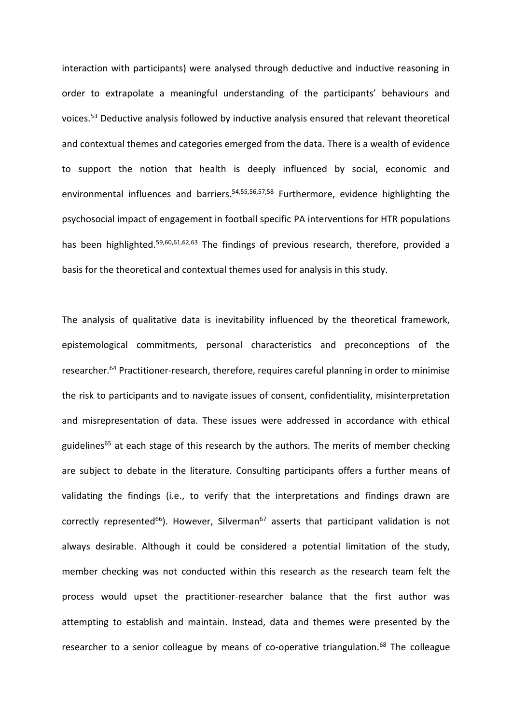interaction with participants) were analysed through deductive and inductive reasoning in order to extrapolate a meaningful understanding of the participants' behaviours and voices. <sup>53</sup> Deductive analysis followed by inductive analysis ensured that relevant theoretical and contextual themes and categories emerged from the data. There is a wealth of evidence to support the notion that health is deeply influenced by social, economic and environmental influences and barriers.<sup>54,55,56,57,58</sup> Furthermore, evidence highlighting the psychosocial impact of engagement in football specific PA interventions for HTR populations has been highlighted.<sup>59,60,61,62,63</sup> The findings of previous research, therefore, provided a basis for the theoretical and contextual themes used for analysis in this study.

The analysis of qualitative data is inevitability influenced by the theoretical framework, epistemological commitments, personal characteristics and preconceptions of the researcher.<sup>64</sup> Practitioner-research, therefore, requires careful planning in order to minimise the risk to participants and to navigate issues of consent, confidentiality, misinterpretation and misrepresentation of data. These issues were addressed in accordance with ethical guidelines<sup>65</sup> at each stage of this research by the authors. The merits of member checking are subject to debate in the literature. Consulting participants offers a further means of validating the findings (i.e., to verify that the interpretations and findings drawn are correctly represented<sup>66</sup>). However, Silverman<sup>67</sup> asserts that participant validation is not always desirable. Although it could be considered a potential limitation of the study, member checking was not conducted within this research as the research team felt the process would upset the practitioner-researcher balance that the first author was attempting to establish and maintain. Instead, data and themes were presented by the researcher to a senior colleague by means of co-operative triangulation.<sup>68</sup> The colleague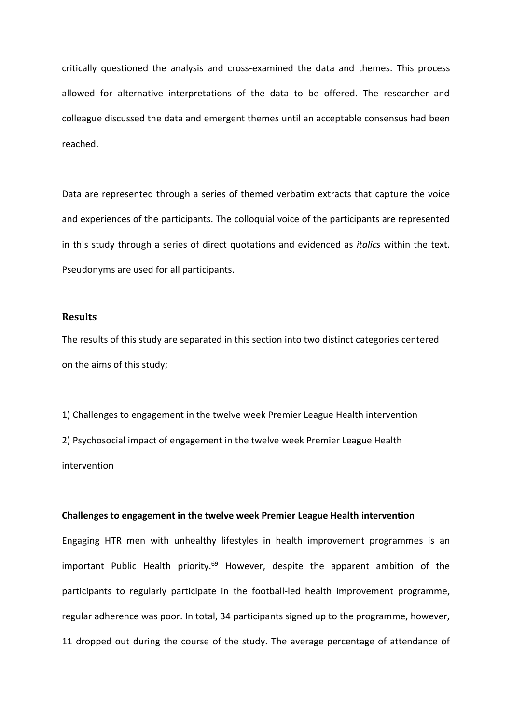critically questioned the analysis and cross-examined the data and themes. This process allowed for alternative interpretations of the data to be offered. The researcher and colleague discussed the data and emergent themes until an acceptable consensus had been reached.

Data are represented through a series of themed verbatim extracts that capture the voice and experiences of the participants. The colloquial voice of the participants are represented in this study through a series of direct quotations and evidenced as *italics* within the text. Pseudonyms are used for all participants.

## **Results**

The results of this study are separated in this section into two distinct categories centered on the aims of this study;

1) Challenges to engagement in the twelve week Premier League Health intervention 2) Psychosocial impact of engagement in the twelve week Premier League Health intervention

#### **Challenges to engagement in the twelve week Premier League Health intervention**

Engaging HTR men with unhealthy lifestyles in health improvement programmes is an important Public Health priority.<sup>69</sup> However, despite the apparent ambition of the participants to regularly participate in the football-led health improvement programme, regular adherence was poor. In total, 34 participants signed up to the programme, however, 11 dropped out during the course of the study. The average percentage of attendance of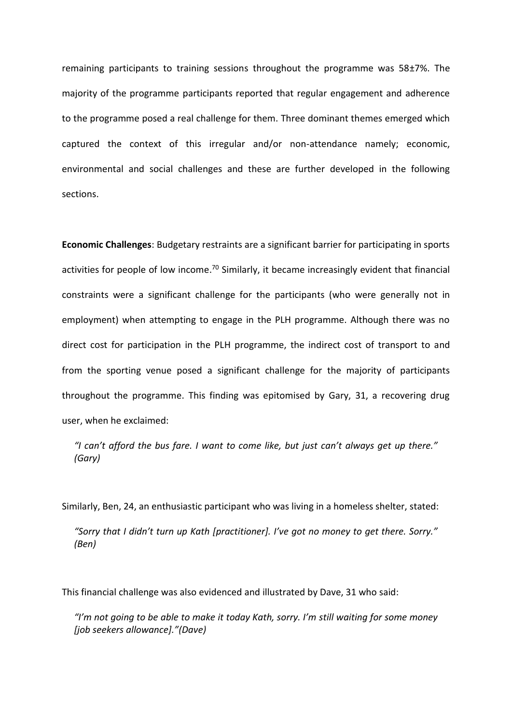remaining participants to training sessions throughout the programme was  $58\pm7\%$ . The majority of the programme participants reported that regular engagement and adherence to the programme posed a real challenge for them. Three dominant themes emerged which captured the context of this irregular and/or non-attendance namely; economic, environmental and social challenges and these are further developed in the following sections.

**Economic Challenges**: Budgetary restraints are a significant barrier for participating in sports activities for people of low income.<sup>70</sup> Similarly, it became increasingly evident that financial constraints were a significant challenge for the participants (who were generally not in employment) when attempting to engage in the PLH programme. Although there was no direct cost for participation in the PLH programme, the indirect cost of transport to and from the sporting venue posed a significant challenge for the majority of participants throughout the programme. This finding was epitomised by Gary, 31, a recovering drug user, when he exclaimed:

*"I can't afford the bus fare. I want to come like, but just can't always get up there." (Gary)*

Similarly, Ben, 24, an enthusiastic participant who was living in a homeless shelter, stated:

*"Sorry that I didn't turn up Kath [practitioner]. I've got no money to get there. Sorry." (Ben)*

This financial challenge was also evidenced and illustrated by Dave, 31 who said:

*"I'm not going to be able to make it today Kath, sorry. I'm still waiting for some money [job seekers allowance]."(Dave)*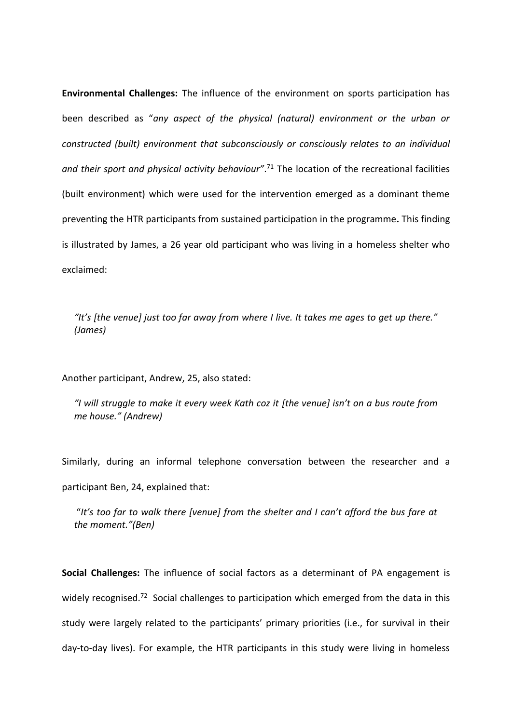**Environmental Challenges:** The influence of the environment on sports participation has been described as "*any aspect of the physical (natural) environment or the urban or constructed (built) environment that subconsciously or consciously relates to an individual*  and their sport and physical activity behaviour".<sup>71</sup> The location of the recreational facilities (built environment) which were used for the intervention emerged as a dominant theme preventing the HTR participants from sustained participation in the programme**.** This finding is illustrated by James, a 26 year old participant who was living in a homeless shelter who exclaimed:

*"It's [the venue] just too far away from where I live. It takes me ages to get up there." (James)*

Another participant, Andrew, 25, also stated:

*"I will struggle to make it every week Kath coz it [the venue] isn't on a bus route from me house." (Andrew)*

Similarly, during an informal telephone conversation between the researcher and a participant Ben, 24, explained that:

"*It's too far to walk there [venue] from the shelter and I can't afford the bus fare at the moment."(Ben)*

**Social Challenges:** The influence of social factors as a determinant of PA engagement is widely recognised.<sup>72</sup> Social challenges to participation which emerged from the data in this study were largely related to the participants' primary priorities (i.e., for survival in their day-to-day lives). For example, the HTR participants in this study were living in homeless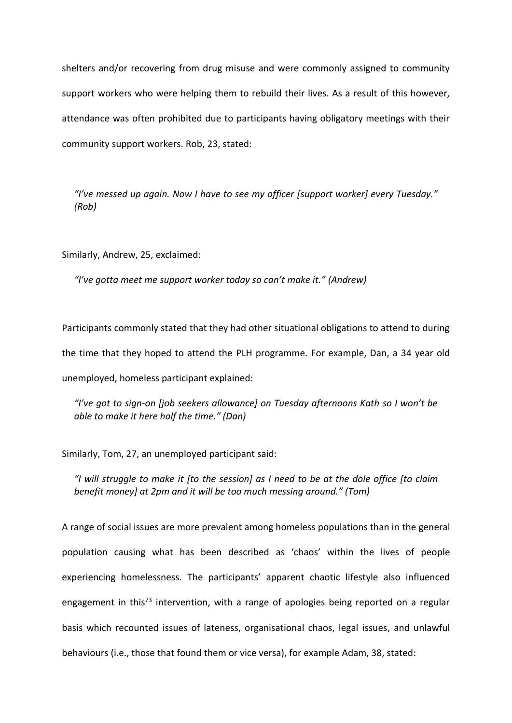shelters and/or recovering from drug misuse and were commonly assigned to community support workers who were helping them to rebuild their lives. As a result of this however, attendance was often prohibited due to participants having obligatory meetings with their community support workers. Rob, 23, stated:

*"I've messed up again. Now I have to see my officer [support worker] every Tuesday." (Rob)*

Similarly, Andrew, 25, exclaimed:

*"I've gotta meet me support worker today so can't make it." (Andrew)*

Participants commonly stated that they had other situational obligations to attend to during the time that they hoped to attend the PLH programme. For example, Dan, a 34 year old unemployed, homeless participant explained:

*"I've got to sign-on [job seekers allowance] on Tuesday afternoons Kath so I won't be able to make it here half the time." (Dan)*

Similarly, Tom, 27, an unemployed participant said:

*"I will struggle to make it [to the session] as I need to be at the dole office [to claim benefit money] at 2pm and it will be too much messing around." (Tom)*

A range of social issues are more prevalent among homeless populations than in the general population causing what has been described as 'chaos' within the lives of people experiencing homelessness. The participants' apparent chaotic lifestyle also influenced engagement in this<sup>73</sup> intervention, with a range of apologies being reported on a regular basis which recounted issues of lateness, organisational chaos, legal issues, and unlawful behaviours (i.e., those that found them or vice versa), for example Adam, 38, stated: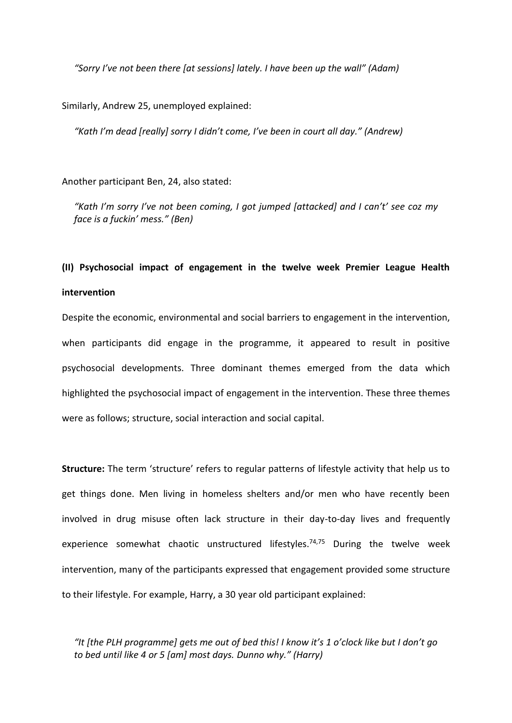*"Sorry I've not been there [at sessions] lately. I have been up the wall" (Adam)*

Similarly, Andrew 25, unemployed explained:

*"Kath I'm dead [really] sorry I didn't come, I've been in court all day." (Andrew)*

Another participant Ben, 24, also stated:

*"Kath I'm sorry I've not been coming, I got jumped [attacked] and I can't' see coz my face is a fuckin' mess." (Ben)*

# **(II) Psychosocial impact of engagement in the twelve week Premier League Health intervention**

Despite the economic, environmental and social barriers to engagement in the intervention, when participants did engage in the programme, it appeared to result in positive psychosocial developments. Three dominant themes emerged from the data which highlighted the psychosocial impact of engagement in the intervention. These three themes were as follows; structure, social interaction and social capital.

**Structure:** The term 'structure' refers to regular patterns of lifestyle activity that help us to get things done. Men living in homeless shelters and/or men who have recently been involved in drug misuse often lack structure in their day-to-day lives and frequently experience somewhat chaotic unstructured lifestyles.<sup>74,75</sup> During the twelve week intervention, many of the participants expressed that engagement provided some structure to their lifestyle. For example, Harry, a 30 year old participant explained:

*"It [the PLH programme] gets me out of bed this! I know it's 1 o'clock like but I don't go to bed until like 4 or 5 [am] most days. Dunno why." (Harry)*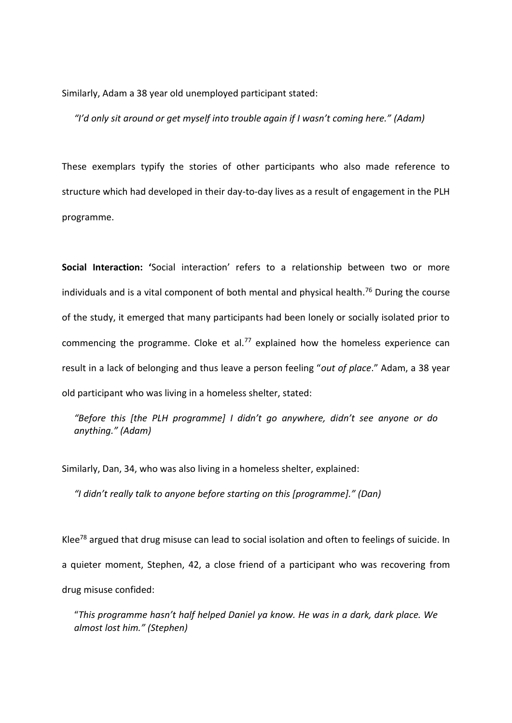Similarly, Adam a 38 year old unemployed participant stated:

*"I'd only sit around or get myself into trouble again if I wasn't coming here." (Adam)*

These exemplars typify the stories of other participants who also made reference to structure which had developed in their day-to-day lives as a result of engagement in the PLH programme.

**Social Interaction: '**Social interaction' refers to a relationship between two or more individuals and is a vital component of both mental and physical health.<sup>76</sup> During the course of the study, it emerged that many participants had been lonely or socially isolated prior to commencing the programme. Cloke et al.<sup>77</sup> explained how the homeless experience can result in a lack of belonging and thus leave a person feeling "*out of place*." Adam, a 38 year old participant who was living in a homeless shelter, stated:

*"Before this [the PLH programme] I didn't go anywhere, didn't see anyone or do anything." (Adam)*

Similarly, Dan, 34, who was also living in a homeless shelter, explained:

*"I didn't really talk to anyone before starting on this [programme]." (Dan)*

Klee<sup>78</sup> argued that drug misuse can lead to social isolation and often to feelings of suicide. In a quieter moment, Stephen, 42, a close friend of a participant who was recovering from drug misuse confided:

"*This programme hasn't half helped Daniel ya know. He was in a dark, dark place. We almost lost him." (Stephen)*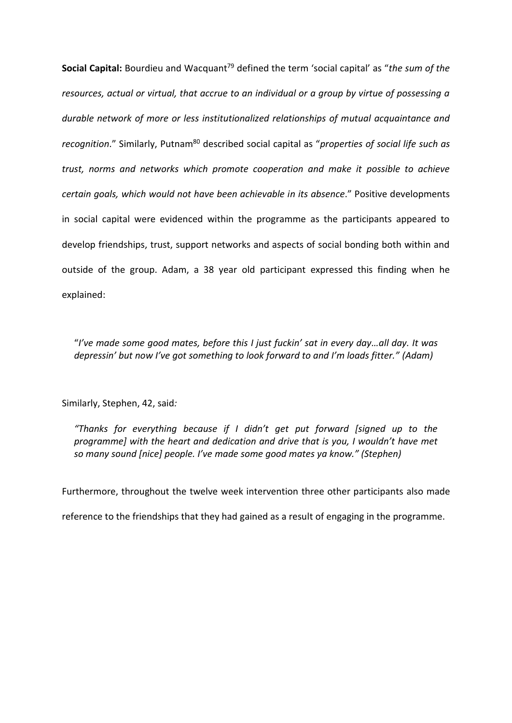**Social Capital:** Bourdieu and Wacquant<sup>79</sup> defined the term 'social capital' as "*the sum of the resources, actual or virtual, that accrue to an individual or a group by virtue of possessing a durable network of more or less institutionalized relationships of mutual acquaintance and recognition*." Similarly, Putnam<sup>80</sup> described social capital as "*properties of social life such as trust, norms and networks which promote cooperation and make it possible to achieve certain goals, which would not have been achievable in its absence*." Positive developments in social capital were evidenced within the programme as the participants appeared to develop friendships, trust, support networks and aspects of social bonding both within and outside of the group. Adam, a 38 year old participant expressed this finding when he explained:

"I've made some good mates, before this I just fuckin' sat in every day...all day. It was *depressin' but now I've got something to look forward to and I'm loads fitter." (Adam)*

Similarly, Stephen, 42, said*:* 

*"Thanks for everything because if I didn't get put forward [signed up to the programme] with the heart and dedication and drive that is you, I wouldn't have met so many sound [nice] people. I've made some good mates ya know." (Stephen)*

Furthermore, throughout the twelve week intervention three other participants also made

reference to the friendships that they had gained as a result of engaging in the programme.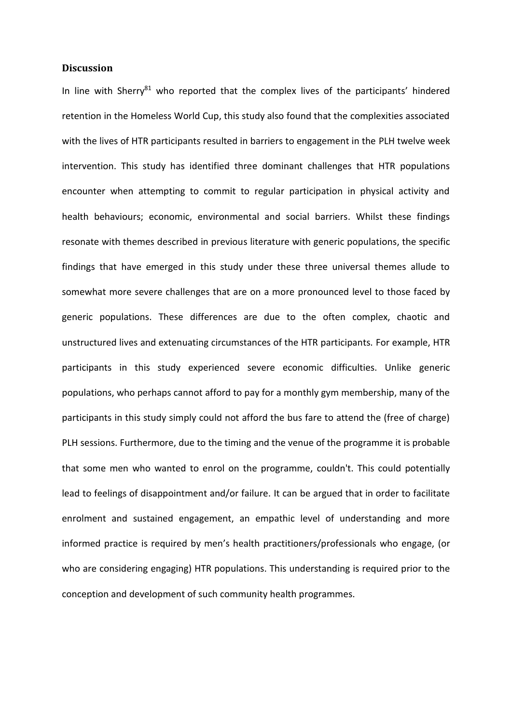### **Discussion**

In line with Sherry<sup>81</sup> who reported that the complex lives of the participants' hindered retention in the Homeless World Cup, this study also found that the complexities associated with the lives of HTR participants resulted in barriers to engagement in the PLH twelve week intervention. This study has identified three dominant challenges that HTR populations encounter when attempting to commit to regular participation in physical activity and health behaviours; economic, environmental and social barriers. Whilst these findings resonate with themes described in previous literature with generic populations, the specific findings that have emerged in this study under these three universal themes allude to somewhat more severe challenges that are on a more pronounced level to those faced by generic populations. These differences are due to the often complex, chaotic and unstructured lives and extenuating circumstances of the HTR participants. For example, HTR participants in this study experienced severe economic difficulties. Unlike generic populations, who perhaps cannot afford to pay for a monthly gym membership, many of the participants in this study simply could not afford the bus fare to attend the (free of charge) PLH sessions. Furthermore, due to the timing and the venue of the programme it is probable that some men who wanted to enrol on the programme, couldn't. This could potentially lead to feelings of disappointment and/or failure. It can be argued that in order to facilitate enrolment and sustained engagement, an empathic level of understanding and more informed practice is required by men's health practitioners/professionals who engage, (or who are considering engaging) HTR populations. This understanding is required prior to the conception and development of such community health programmes.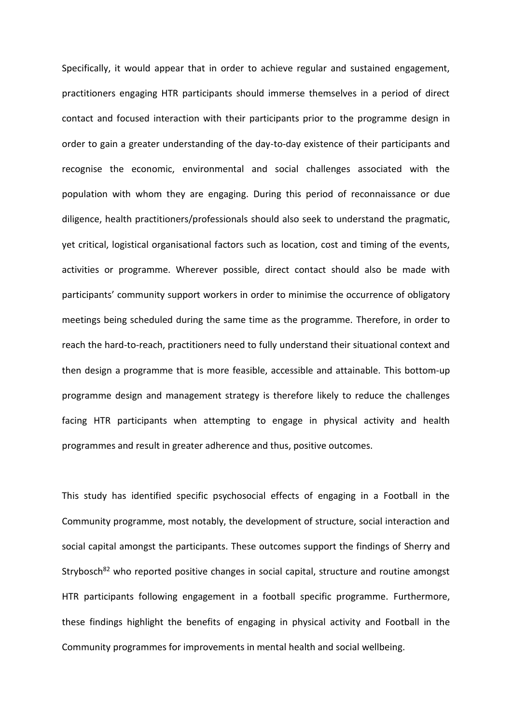Specifically, it would appear that in order to achieve regular and sustained engagement, practitioners engaging HTR participants should immerse themselves in a period of direct contact and focused interaction with their participants prior to the programme design in order to gain a greater understanding of the day-to-day existence of their participants and recognise the economic, environmental and social challenges associated with the population with whom they are engaging. During this period of reconnaissance or due diligence, health practitioners/professionals should also seek to understand the pragmatic, yet critical, logistical organisational factors such as location, cost and timing of the events, activities or programme. Wherever possible, direct contact should also be made with participants' community support workers in order to minimise the occurrence of obligatory meetings being scheduled during the same time as the programme. Therefore, in order to reach the hard-to-reach, practitioners need to fully understand their situational context and then design a programme that is more feasible, accessible and attainable. This bottom-up programme design and management strategy is therefore likely to reduce the challenges facing HTR participants when attempting to engage in physical activity and health programmes and result in greater adherence and thus, positive outcomes.

This study has identified specific psychosocial effects of engaging in a Football in the Community programme, most notably, the development of structure, social interaction and social capital amongst the participants. These outcomes support the findings of Sherry and Strybosch<sup>82</sup> who reported positive changes in social capital, structure and routine amongst HTR participants following engagement in a football specific programme. Furthermore, these findings highlight the benefits of engaging in physical activity and Football in the Community programmes for improvements in mental health and social wellbeing.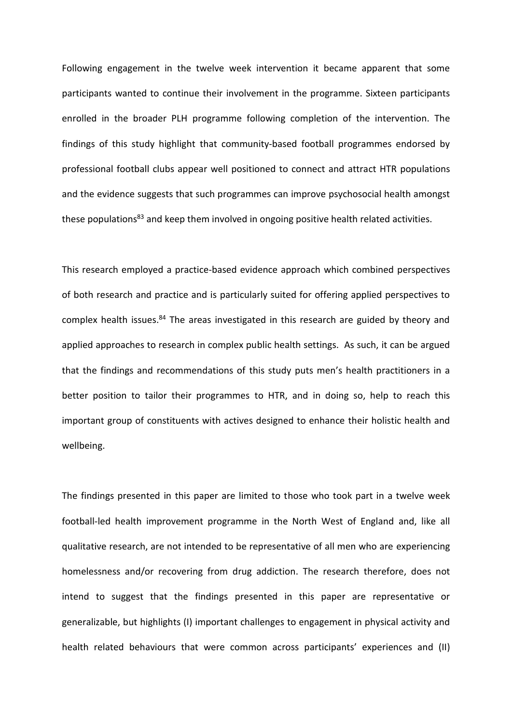Following engagement in the twelve week intervention it became apparent that some participants wanted to continue their involvement in the programme. Sixteen participants enrolled in the broader PLH programme following completion of the intervention. The findings of this study highlight that community-based football programmes endorsed by professional football clubs appear well positioned to connect and attract HTR populations and the evidence suggests that such programmes can improve psychosocial health amongst these populations<sup>83</sup> and keep them involved in ongoing positive health related activities.

This research employed a practice-based evidence approach which combined perspectives of both research and practice and is particularly suited for offering applied perspectives to complex health issues.<sup>84</sup> The areas investigated in this research are guided by theory and applied approaches to research in complex public health settings. As such, it can be argued that the findings and recommendations of this study puts men's health practitioners in a better position to tailor their programmes to HTR, and in doing so, help to reach this important group of constituents with actives designed to enhance their holistic health and wellbeing.

The findings presented in this paper are limited to those who took part in a twelve week football-led health improvement programme in the North West of England and, like all qualitative research, are not intended to be representative of all men who are experiencing homelessness and/or recovering from drug addiction. The research therefore, does not intend to suggest that the findings presented in this paper are representative or generalizable, but highlights (I) important challenges to engagement in physical activity and health related behaviours that were common across participants' experiences and (II)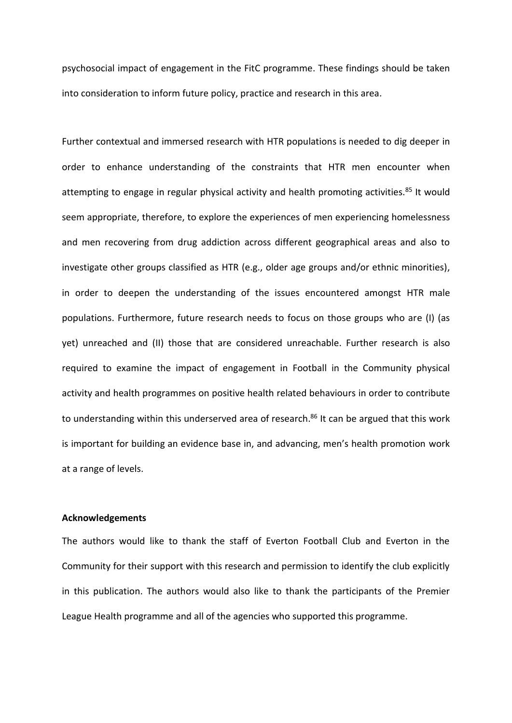psychosocial impact of engagement in the FitC programme. These findings should be taken into consideration to inform future policy, practice and research in this area.

Further contextual and immersed research with HTR populations is needed to dig deeper in order to enhance understanding of the constraints that HTR men encounter when attempting to engage in regular physical activity and health promoting activities.<sup>85</sup> It would seem appropriate, therefore, to explore the experiences of men experiencing homelessness and men recovering from drug addiction across different geographical areas and also to investigate other groups classified as HTR (e.g., older age groups and/or ethnic minorities), in order to deepen the understanding of the issues encountered amongst HTR male populations. Furthermore, future research needs to focus on those groups who are (I) (as yet) unreached and (II) those that are considered unreachable. Further research is also required to examine the impact of engagement in Football in the Community physical activity and health programmes on positive health related behaviours in order to contribute to understanding within this underserved area of research.<sup>86</sup> It can be argued that this work is important for building an evidence base in, and advancing, men's health promotion work at a range of levels.

#### **Acknowledgements**

The authors would like to thank the staff of Everton Football Club and Everton in the Community for their support with this research and permission to identify the club explicitly in this publication. The authors would also like to thank the participants of the Premier League Health programme and all of the agencies who supported this programme.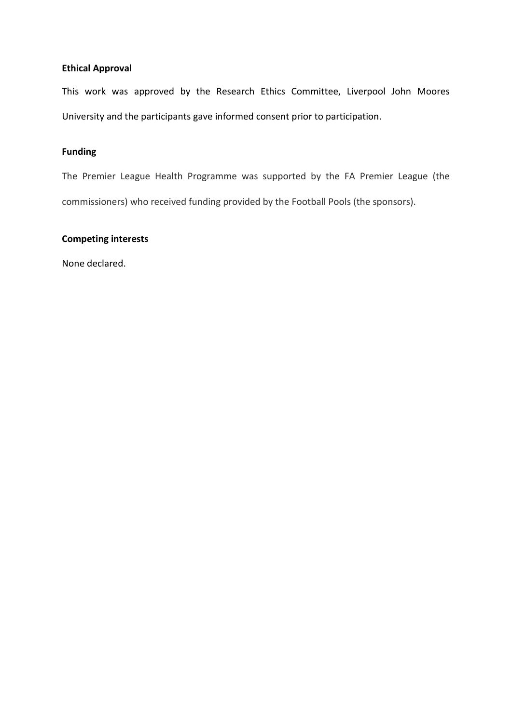## **Ethical Approval**

This work was approved by the Research Ethics Committee, Liverpool John Moores University and the participants gave informed consent prior to participation.

# **Funding**

The Premier League Health Programme was supported by the FA Premier League (the commissioners) who received funding provided by the Football Pools (the sponsors).

## **Competing interests**

None declared.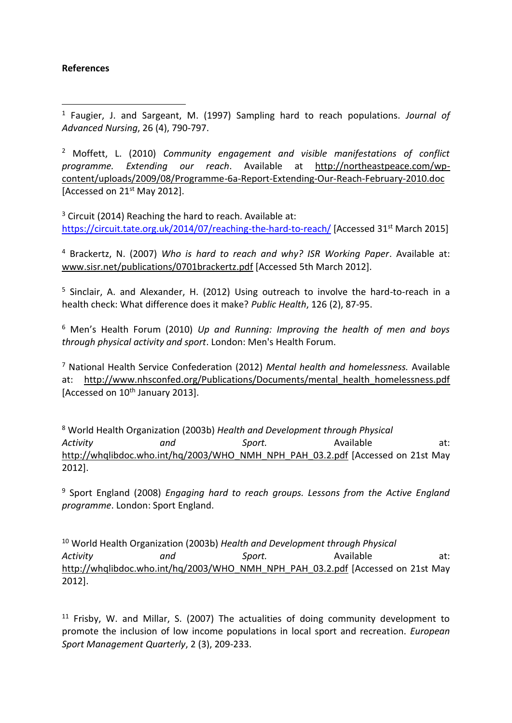# **References**

1

<sup>1</sup> Faugier, J. and Sargeant, M. (1997) Sampling hard to reach populations. *Journal of Advanced Nursing*, 26 (4), 790-797.

<sup>2</sup> Moffett, L. (2010) *Community engagement and visible manifestations of conflict programme. Extending our reach*. Available at http://northeastpeace.com/wpcontent/uploads/2009/08/Programme-6a-Report-Extending-Our-Reach-February-2010.doc [Accessed on 21st May 2012].

<sup>3</sup> Circuit (2014) Reaching the hard to reach. Available at: <https://circuit.tate.org.uk/2014/07/reaching-the-hard-to-reach/> [Accessed 31<sup>st</sup> March 2015]

<sup>4</sup> Brackertz, N. (2007) *Who is hard to reach and why? ISR Working Paper*. Available at: [www.sisr.net/publications/0701brackertz.pdf](http://captus.samhsa.gov/access-resources/www.sisr.net/publications/0701brackertz.pdf) [Accessed 5th March 2012].

<sup>5</sup> Sinclair, A. and Alexander, H. (2012) Using outreach to involve the hard-to-reach in a health check: What difference does it make? *Public Health*, 126 (2), 87-95.

<sup>6</sup> Men's Health Forum (2010) *Up and Running: Improving the health of men and boys through physical activity and sport*. London: Men's Health Forum.

<sup>7</sup> National Health Service Confederation (2012) *Mental health and homelessness.* Available at: http://www.nhsconfed.org/Publications/Documents/mental health homelessness.pdf [Accessed on  $10^{th}$  January 2013].

<sup>8</sup> World Health Organization (2003b) *Health and Development through Physical*  Activity and Sport. Available at: http://whqlibdoc.who.int/hq/2003/WHO\_NMH\_NPH\_PAH\_03.2.pdf [Accessed on 21st May 2012].

<sup>9</sup> Sport England (2008) *Engaging hard to reach groups. Lessons from the Active England programme*. London: Sport England.

<sup>10</sup> World Health Organization (2003b) *Health and Development through Physical*  Activity and Sport. Available at: http://whalibdoc.who.int/ha/2003/WHO\_NMH\_NPH\_PAH\_03.2.pdf [Accessed on 21st May 2012].

 $11$  Frisby, W. and Millar, S. (2007) The actualities of doing community development to promote the inclusion of low income populations in local sport and recreation. *European Sport Management Quarterly*, 2 (3), 209-233.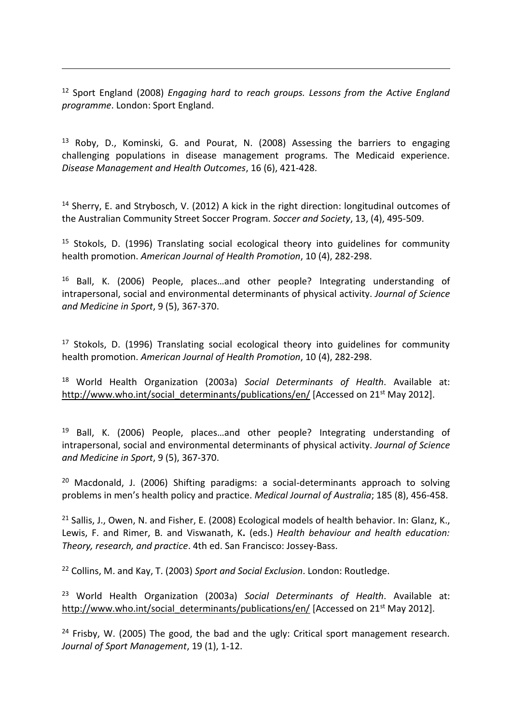<sup>12</sup> Sport England (2008) *Engaging hard to reach groups. Lessons from the Active England programme*. London: Sport England.

1

 $13$  Roby, D., Kominski, G. and Pourat, N. (2008) Assessing the barriers to engaging challenging populations in disease management programs. The Medicaid experience. *Disease Management and Health Outcomes*, 16 (6), 421-428.

<sup>14</sup> Sherry, E. and Strybosch, V. (2012) A kick in the right direction: longitudinal outcomes of the Australian Community Street Soccer Program. *Soccer and Society*, 13, (4), 495-509.

<sup>15</sup> Stokols, D. (1996) Translating social ecological theory into guidelines for community health promotion. *American Journal of Health Promotion*, 10 (4), 282-298.

<sup>16</sup> Ball, K. (2006) People, places…and other people? Integrating understanding of intrapersonal, social and environmental determinants of physical activity. *Journal of Science and Medicine in Sport*, 9 (5), 367-370.

<sup>17</sup> Stokols, D. (1996) Translating social ecological theory into guidelines for community health promotion. *American Journal of Health Promotion*, 10 (4), 282-298.

<sup>18</sup> World Health Organization (2003a) *Social Determinants of Health*. Available at: http://www.who.int/social\_determinants/publications/en/ [Accessed on 21<sup>st</sup> May 2012].

 $19$  Ball, K. (2006) People, places...and other people? Integrating understanding of intrapersonal, social and environmental determinants of physical activity. *Journal of Science and Medicine in Sport*, 9 (5), 367-370.

 $20$  Macdonald, J. (2006) Shifting paradigms: a social-determinants approach to solving problems in men's health policy and practice. *Medical Journal of Australia*; 185 (8), 456-458.

<sup>21</sup> Sallis, J., Owen, N. and Fisher, E. (2008) Ecological models of health behavior. In: Glanz, K., Lewis, F. and Rimer, B. and Viswanath, K**.** (eds.) *Health behaviour and health education: Theory, research, and practice*. 4th ed. San Francisco: Jossey-Bass.

<sup>22</sup> Collins, M. and Kay, T. (2003) *Sport and Social Exclusion*. London: Routledge.

<sup>23</sup> World Health Organization (2003a) *Social Determinants of Health*. Available at: http://www.who.int/social\_determinants/publications/en/ [Accessed on 21<sup>st</sup> May 2012].

<sup>24</sup> Frisby, W. (2005) The good, the bad and the ugly: Critical sport management research*. Journal of Sport Management*, 19 (1), 1-12.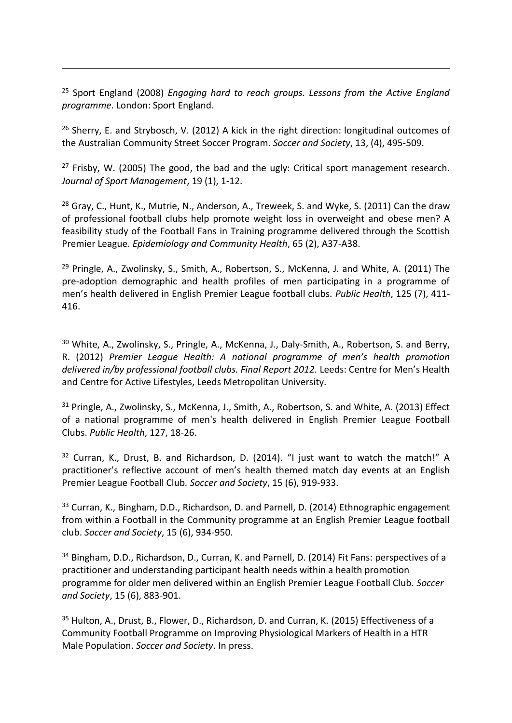<sup>25</sup> Sport England (2008) *Engaging hard to reach groups. Lessons from the Active England programme*. London: Sport England.

1

 $26$  Sherry, E. and Strybosch, V. (2012) A kick in the right direction: longitudinal outcomes of the Australian Community Street Soccer Program. *Soccer and Society*, 13, (4), 495-509.

<sup>27</sup> Frisby, W. (2005) The good, the bad and the ugly: Critical sport management research*. Journal of Sport Management*, 19 (1), 1-12.

<sup>28</sup> Gray, C., Hunt, K., Mutrie, N., Anderson, A., Treweek, S. and Wyke, S. (2011) Can the draw of professional football clubs help promote weight loss in overweight and obese men? A feasibility study of the Football Fans in Training programme delivered through the Scottish Premier League. *Epidemiology and Community Health*, 65 (2), A37-A38.

<sup>29</sup> Pringle, A., Zwolinsky, S., Smith, A., Robertson, S., McKenna, J. and White, A. (2011) The pre-adoption demographic and health profiles of men participating in a programme of men's health delivered in English Premier League football clubs. *Public Health*, 125 (7), 411- 416.

<sup>30</sup> White, A., Zwolinsky, S., Pringle, A., McKenna, J., Daly-Smith, A., Robertson, S. and Berry, R. (2012) *Premier League Health: A national programme of men's health promotion*  delivered in/by professional football clubs. Final Report 2012. Leeds: Centre for Men's Health and Centre for Active Lifestyles, Leeds Metropolitan University.

<sup>31</sup> Pringle, A., Zwolinsky, S., McKenna, J., Smith, A., Robertson, S. and White, A. (2013) Effect of a national programme of men's health delivered in English Premier League Football Clubs. *Public Health*, 127, 18-26.

<sup>32</sup> Curran, K., Drust, B. and Richardson, D. (2014). "I just want to watch the match!" A practitioner's reflective account of men's health themed match day events at an English Premier League Football Club*. Soccer and Society*, 15 (6), 919-933.

<sup>33</sup> Curran, K., Bingham, D.D., Richardson, D. and Parnell, D. (2014) Ethnographic engagement from within a Football in the Community programme at an English Premier League football club. *Soccer and Society*, 15 (6), 934-950.

<sup>34</sup> Bingham, D.D., Richardson, D., Curran, K. and Parnell, D. (2014) Fit Fans: perspectives of a practitioner and understanding participant health needs within a health promotion programme for older men delivered within an English Premier League Football Club. *Soccer and Society*, 15 (6), 883-901.

35 Hulton, A., Drust, B., Flower, D., Richardson, D. and Curran, K. (2015) Effectiveness of a Community Football Programme on Improving Physiological Markers of Health in a HTR Male Population. *Soccer and Society*. In press.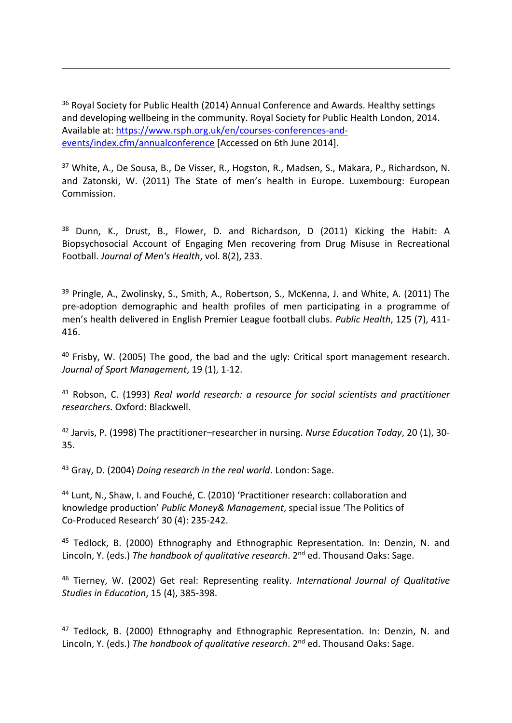<sup>36</sup> Royal Society for Public Health (2014) Annual Conference and Awards. Healthy settings and developing wellbeing in the community. Royal Society for Public Health London, 2014. Available at: [https://www.rsph.org.uk/en/courses-conferences-and](https://www.rsph.org.uk/en/courses-conferences-and-events/index.cfm/annualconference)[events/index.cfm/annualconference](https://www.rsph.org.uk/en/courses-conferences-and-events/index.cfm/annualconference) [Accessed on 6th June 2014].

1

<sup>37</sup> White, A., De Sousa, B., De Visser, R., Hogston, R., Madsen, S., Makara, P., Richardson, N. and Zatonski, W. (2011) The State of men's health in Europe. Luxembourg: European Commission.

<sup>38</sup> Dunn, K., Drust, B., Flower, D. and Richardson, D (2011) Kicking the Habit: A Biopsychosocial Account of Engaging Men recovering from Drug Misuse in Recreational Football. *Journal of Men's Health*, vol. 8(2), 233.

<sup>39</sup> Pringle, A., Zwolinsky, S., Smith, A., Robertson, S., McKenna, J. and White, A. (2011) The pre-adoption demographic and health profiles of men participating in a programme of men's health delivered in English Premier League football clubs. *Public Health*, 125 (7), 411- 416.

<sup>40</sup> Frisby, W. (2005) The good, the bad and the ugly: Critical sport management research*. Journal of Sport Management*, 19 (1), 1-12.

<sup>41</sup> Robson, C. (1993) *Real world research: a resource for social scientists and practitioner researchers*. Oxford: Blackwell.

<sup>42</sup> Jarvis, P. (1998) The practitioner–researcher in nursing. *Nurse Education Today*, 20 (1), 30- 35.

<sup>43</sup> Gray, D. (2004) *Doing research in the real world*. London: Sage.

<sup>44</sup> Lunt, N., Shaw, I. and Fouché, C. (2010) 'Practitioner research: collaboration and knowledge production' *Public Money& Management*, special issue 'The Politics of Co-Produced Research' 30 (4): 235-242.

45 Tedlock, B. (2000) Ethnography and Ethnographic Representation. In: Denzin, N. and Lincoln, Y. (eds.) *The handbook of qualitative research*. 2<sup>nd</sup> ed. Thousand Oaks: Sage.

<sup>46</sup> Tierney, W. (2002) Get real: Representing reality*. International Journal of Qualitative Studies in Education*, 15 (4), 385-398.

 $47$  Tedlock, B. (2000) Ethnography and Ethnographic Representation. In: Denzin, N. and Lincoln, Y. (eds.) *The handbook of qualitative research*. 2<sup>nd</sup> ed. Thousand Oaks: Sage.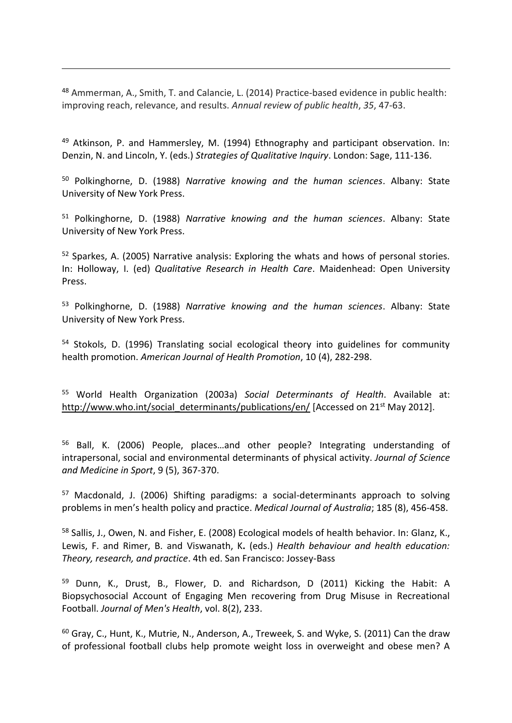<sup>48</sup> Ammerman, A., Smith, T. and Calancie, L. (2014) Practice-based evidence in public health: improving reach, relevance, and results. *Annual review of public health*, *35*, 47-63.

1

 $49$  Atkinson, P. and Hammersley, M. (1994) Ethnography and participant observation. In: Denzin, N. and Lincoln, Y. (eds.) *Strategies of Qualitative Inquiry*. London: Sage, 111-136.

<sup>50</sup> Polkinghorne, D. (1988) *Narrative knowing and the human sciences*. Albany: State University of New York Press.

<sup>51</sup> Polkinghorne, D. (1988) *Narrative knowing and the human sciences*. Albany: State University of New York Press.

<sup>52</sup> Sparkes, A. (2005) Narrative analysis: Exploring the whats and hows of personal stories. In: Holloway, I. (ed) *Qualitative Research in Health Care*. Maidenhead: Open University Press.

<sup>53</sup> Polkinghorne, D. (1988) *Narrative knowing and the human sciences*. Albany: State University of New York Press.

<sup>54</sup> Stokols, D. (1996) Translating social ecological theory into guidelines for community health promotion. *American Journal of Health Promotion*, 10 (4), 282-298.

<sup>55</sup> World Health Organization (2003a) *Social Determinants of Health*. Available at: http://www.who.int/social\_determinants/publications/en/ [Accessed on 21<sup>st</sup> May 2012].

<sup>56</sup> Ball, K. (2006) People, places…and other people? Integrating understanding of intrapersonal, social and environmental determinants of physical activity. *Journal of Science and Medicine in Sport*, 9 (5), 367-370.

<sup>57</sup> Macdonald, J. (2006) Shifting paradigms: a social-determinants approach to solving problems in men's health policy and practice. *Medical Journal of Australia*; 185 (8), 456-458.

<sup>58</sup> Sallis, J., Owen, N. and Fisher, E. (2008) Ecological models of health behavior. In: Glanz, K., Lewis, F. and Rimer, B. and Viswanath, K**.** (eds.) *Health behaviour and health education: Theory, research, and practice*. 4th ed. San Francisco: Jossey-Bass

<sup>59</sup> Dunn, K., Drust, B., Flower, D. and Richardson, D (2011) Kicking the Habit: A Biopsychosocial Account of Engaging Men recovering from Drug Misuse in Recreational Football. *Journal of Men's Health*, vol. 8(2), 233.

 $60$  Gray, C., Hunt, K., Mutrie, N., Anderson, A., Treweek, S. and Wyke, S. (2011) Can the draw of professional football clubs help promote weight loss in overweight and obese men? A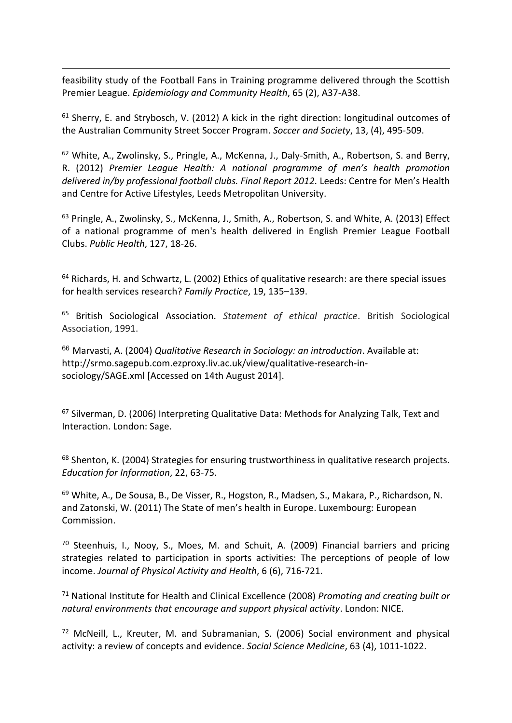feasibility study of the Football Fans in Training programme delivered through the Scottish Premier League. *Epidemiology and Community Health*, 65 (2), A37-A38.

1

 $61$  Sherry, E. and Strybosch, V. (2012) A kick in the right direction: longitudinal outcomes of the Australian Community Street Soccer Program. *Soccer and Society*, 13, (4), 495-509.

<sup>62</sup> White, A., Zwolinsky, S., Pringle, A., McKenna, J., Daly-Smith, A., Robertson, S. and Berry, R. (2012) *Premier League Health: A national programme of men's health promotion*  delivered in/by professional football clubs. Final Report 2012. Leeds: Centre for Men's Health and Centre for Active Lifestyles, Leeds Metropolitan University.

<sup>63</sup> Pringle, A., Zwolinsky, S., McKenna, J., Smith, A., Robertson, S. and White, A. (2013) Effect of a national programme of men's health delivered in English Premier League Football Clubs. *Public Health*, 127, 18-26.

<sup>64</sup> Richards, H. and Schwartz, L. (2002) Ethics of qualitative research: are there special issues for health services research? *Family Practice*, 19, 135–139.

<sup>65</sup> British Sociological Association. *Statement of ethical practice*. British Sociological Association, 1991.

<sup>66</sup> Marvasti, A. (2004) *Qualitative Research in Sociology: an introduction*. Available at: http://srmo.sagepub.com.ezproxy.liv.ac.uk/view/qualitative-research-insociology/SAGE.xml [Accessed on 14th August 2014].

<sup>67</sup> Silverman, D. (2006) Interpreting Qualitative Data: Methods for Analyzing Talk, Text and Interaction. London: Sage.

<sup>68</sup> [Shenton, K. \(2004\)](http://www.sciencedirect.com/science/article/pii/S0897189708000724#bib19) Strategies for ensuring trustworthiness in qualitative research projects. *Education for Information*, 22, 63-75.

<sup>69</sup> White, A., De Sousa, B., De Visser, R., Hogston, R., Madsen, S., Makara, P., Richardson, N. and Zatonski, W. (2011) The State of men's health in Europe. Luxembourg: European Commission.

<sup>70</sup> Steenhuis, I., Nooy, S., Moes, M. and Schuit, A. (2009) Financial barriers and pricing strategies related to participation in sports activities: The perceptions of people of low income. *Journal of Physical Activity and Health*, 6 (6), 716-721.

<sup>71</sup> National Institute for Health and Clinical Excellence (2008) *Promoting and creating built or natural environments that encourage and support physical activity*. London: NICE.

 $72$  McNeill, L., Kreuter, M. and Subramanian, S. (2006) Social environment and physical activity: a review of concepts and evidence. *Social Science Medicine*, 63 (4), 1011-1022.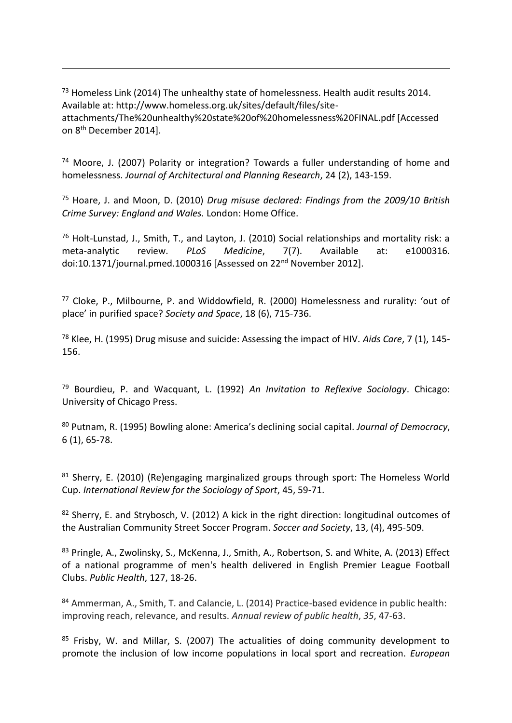<sup>73</sup> Homeless Link (2014) The unhealthy state of homelessness. Health audit results 2014. Available at: http://www.homeless.org.uk/sites/default/files/siteattachments/The%20unhealthy%20state%20of%20homelessness%20FINAL.pdf [Accessed on 8th December 2014].

1

<sup>74</sup> Moore, J. (2007) Polarity or integration? Towards a fuller understanding of home and homelessness. *Journal of Architectural and Planning Research*, 24 (2), 143-159.

<sup>75</sup> Hoare, J. and Moon, D. (2010) *Drug misuse declared: Findings from the 2009/10 British Crime Survey: England and Wales.* London: Home Office.

<sup>76</sup> Holt-Lunstad, J., Smith, T., and Layton, J. (2010) Social relationships and mortality risk: a meta-analytic review. *PLoS Medicine*, 7(7). Available at: e1000316. doi:10.1371/journal.pmed.1000316 [Assessed on 22nd November 2012].

<sup>77</sup> Cloke, P., Milbourne, P. and Widdowfield, R. (2000) Homelessness and rurality: 'out of place' in purified space? *Society and Space*, 18 (6), 715-736.

<sup>78</sup> Klee, H. (1995) Drug misuse and suicide: Assessing the impact of HIV. *Aids Care*, 7 (1), 145- 156.

<sup>79</sup> Bourdieu, P. and Wacquant, L. (1992) *An Invitation to Reflexive Sociology*. Chicago: University of Chicago Press.

<sup>80</sup> Putnam, R. (1995) Bowling alone: America's declining social capital. *Journal of Democracy*, 6 (1), 65-78.

<sup>81</sup> Sherry, E. (2010) (Re)engaging marginalized groups through sport: The Homeless World Cup. *International Review for the Sociology of Sport*, 45, 59-71.

 $82$  Sherry, E. and Strybosch, V. (2012) A kick in the right direction: longitudinal outcomes of the Australian Community Street Soccer Program. *Soccer and Society*, 13, (4), 495-509.

83 Pringle, A., Zwolinsky, S., McKenna, J., Smith, A., Robertson, S. and White, A. (2013) Effect of a national programme of men's health delivered in English Premier League Football Clubs. *Public Health*, 127, 18-26.

84 Ammerman, A., Smith, T. and Calancie, L. (2014) Practice-based evidence in public health: improving reach, relevance, and results. *Annual review of public health*, *35*, 47-63.

85 Frisby, W. and Millar, S. (2007) The actualities of doing community development to promote the inclusion of low income populations in local sport and recreation. *European*